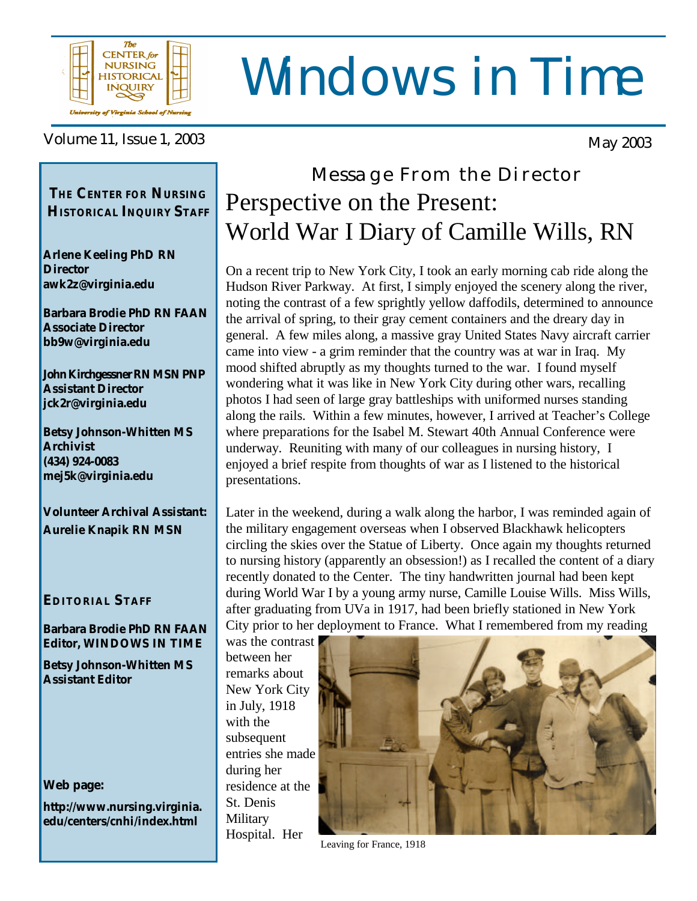

# Windows in Time

#### Volume 11, Issue 1, 2003

*THE* **CENTER** *FOR* **NURSING HISTORICAL INQUIRY STAFF**

**Arlene Keeling PhD RN Director awk2z@virginia.edu**

**Barbara Brodie PhD RN FAAN Associate Director bb9w@virginia.edu**

**John Kirchgessner RN MSN PNP Assistant Director jck2r@virginia.edu**

**Betsy Johnson-Whitten MS Archivist (434) 924-0083 mej5k@virginia.edu**

**Volunteer Archival Assistant: Aurelie Knapik RN MSN**

#### **EDITORIAL STAFF**

**Barbara Brodie PhD RN FAAN Editor, WINDOWS IN TIME**

**Betsy Johnson-Whitten MS Assistant Editor**

#### **Web page:**

**http://www.nursing.virginia. edu/centers/cnhi/index.html**

# Message From the Director Perspective on the Present: World War I Diary of Camille Wills, RN

On a recent trip to New York City, I took an early morning cab ride along the Hudson River Parkway. At first, I simply enjoyed the scenery along the river, noting the contrast of a few sprightly yellow daffodils, determined to announce the arrival of spring, to their gray cement containers and the dreary day in general. A few miles along, a massive gray United States Navy aircraft carrier came into view - a grim reminder that the country was at war in Iraq. My mood shifted abruptly as my thoughts turned to the war. I found myself wondering what it was like in New York City during other wars, recalling photos I had seen of large gray battleships with uniformed nurses standing along the rails. Within a few minutes, however, I arrived at Teacher's College where preparations for the Isabel M. Stewart 40th Annual Conference were underway. Reuniting with many of our colleagues in nursing history, I enjoyed a brief respite from thoughts of war as I listened to the historical presentations.

Later in the weekend, during a walk along the harbor, I was reminded again of the military engagement overseas when I observed Blackhawk helicopters circling the skies over the Statue of Liberty. Once again my thoughts returned to nursing history (apparently an obsession!) as I recalled the content of a diary recently donated to the Center. The tiny handwritten journal had been kept during World War I by a young army nurse, Camille Louise Wills. Miss Wills, after graduating from UVa in 1917, had been briefly stationed in New York City prior to her deployment to France. What I remembered from my reading

was the contrast between her remarks about New York City in July, 1918 with the subsequent entries she made during her residence at the St. Denis **Military** Hospital. Her



Leaving for France, 1918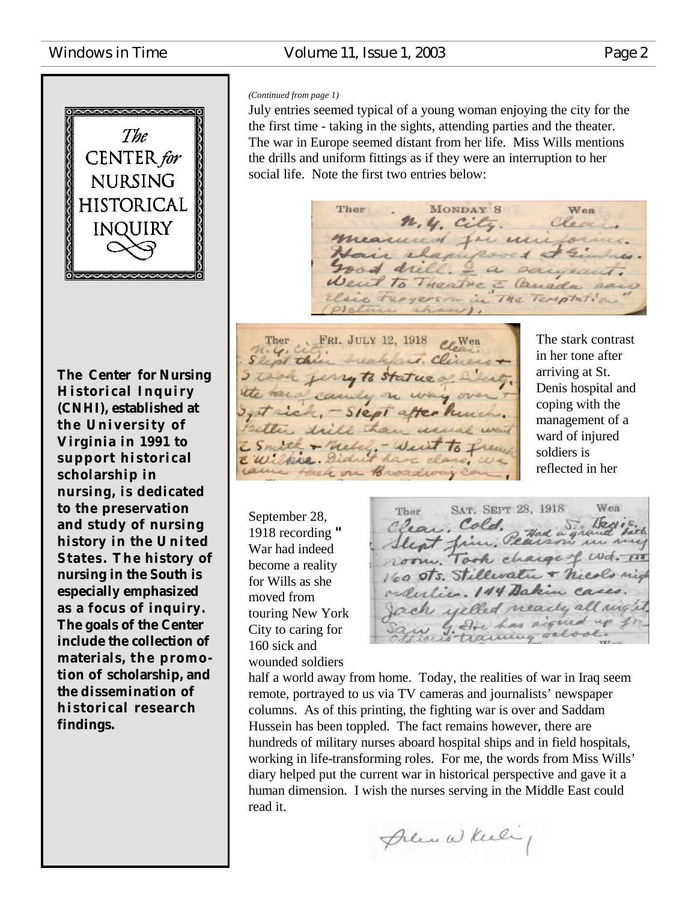#### Windows in Time **Volume 11, Issue 1, 2003** Page 2



**The Center for Nursing Historical Inquiry (CNHI), established at the University of Virginia in 1991 to support historical scholarship in nursing, is dedicated to the preservation and study of nursing history in the U nited States. The history of nursing in the South is especially emphasized as a focus of inquiry. The goals of the Center include the collection of materials, t he promotion of scholarship, and the dissemination of historical research findings.**

#### *(Continued from page 1)*

July entries seemed typical of a young woman enjoying the city for the the first time - taking in the sights, attending parties and the theater. The war in Europe seemed distant from her life. Miss Wills mentions the drills and uniform fittings as if they were an interruption to her social life. Note the first two entries below:

MONDAY 8 Ther Wea N. y. City. Clea measured for milfor Lair chapuport + Se road drill. I a sargeant. Went to Theatre & Canada paro a tergers in in The Temptation

Ther FRI. JULY 12, 1918 C. Wea Slept this realfait. Cliness I took jury to statue of L the rand candy on  $4$ get rick, - Slept after hune alter drill E Smith + Meley. - Veut to I CWilker Sidne Hack on Broadway

The stark contrast in her tone after arriving at St. Denis hospital and coping with the management of a ward of injured soldiers is reflected in her

September 28, 1918 recording **"** War had indeed become a reality for Wills as she moved from touring New York City to caring for 160 sick and wounded soldiers

SAT. SEPT 28, 1918 Wea Ther Clear, Cold. Pad a grand fit room. Took charge of Wd. 11 160 sts. Stillwater + nicols nig relative. 144 Dakin cases. ach yelled nearly all night. w g. Dre has signed training set

half a world away from home. Today, the realities of war in Iraq seem remote, portrayed to us via TV cameras and journalists' newspaper columns. As of this printing, the fighting war is over and Saddam Hussein has been toppled. The fact remains however, there are hundreds of military nurses aboard hospital ships and in field hospitals, working in life-transforming roles. For me, the words from Miss Wills' diary helped put the current war in historical perspective and gave it a human dimension. I wish the nurses serving in the Middle East could read it.

Premie Wheeling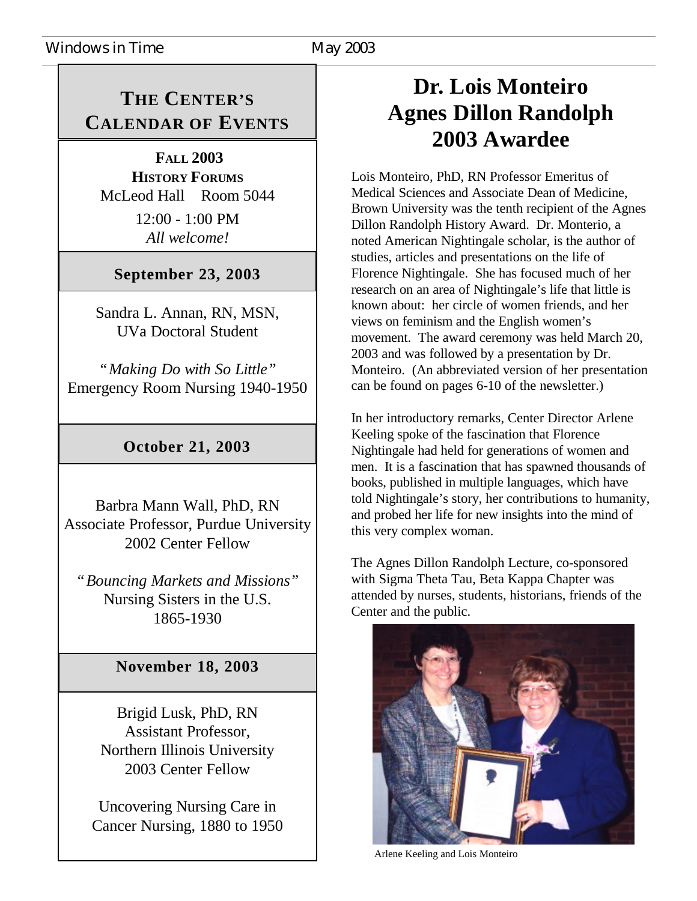### **THE CENTER'S CALENDAR OF EVENTS**

 **FALL 2003 HISTORY FORUMS** McLeod Hall Room 5044

> 12:00 - 1:00 PM *All welcome!*

### **September 23, 2003**

Sandra L. Annan, RN, MSN, UVa Doctoral Student

*"Making Do with So Little"* Emergency Room Nursing 1940-1950

#### **October 21, 2003**

Barbra Mann Wall, PhD, RN Associate Professor, Purdue University 2002 Center Fellow

*"Bouncing Markets and Missions"* Nursing Sisters in the U.S. 1865-1930

#### **November 18, 2003**

Brigid Lusk, PhD, RN Assistant Professor, Northern Illinois University 2003 Center Fellow

Uncovering Nursing Care in Cancer Nursing, 1880 to 1950

### **Dr. Lois Monteiro Agnes Dillon Randolph 2003 Awardee**

Lois Monteiro, PhD, RN Professor Emeritus of Medical Sciences and Associate Dean of Medicine, Brown University was the tenth recipient of the Agnes Dillon Randolph History Award. Dr. Monterio, a noted American Nightingale scholar, is the author of studies, articles and presentations on the life of Florence Nightingale. She has focused much of her research on an area of Nightingale's life that little is known about: her circle of women friends, and her views on feminism and the English women's movement. The award ceremony was held March 20, 2003 and was followed by a presentation by Dr. Monteiro. (An abbreviated version of her presentation can be found on pages 6-10 of the newsletter.)

In her introductory remarks, Center Director Arlene Keeling spoke of the fascination that Florence Nightingale had held for generations of women and men. It is a fascination that has spawned thousands of books, published in multiple languages, which have told Nightingale's story, her contributions to humanity, and probed her life for new insights into the mind of this very complex woman.

The Agnes Dillon Randolph Lecture, co-sponsored with Sigma Theta Tau, Beta Kappa Chapter was attended by nurses, students, historians, friends of the Center and the public.



Arlene Keeling and Lois Monteiro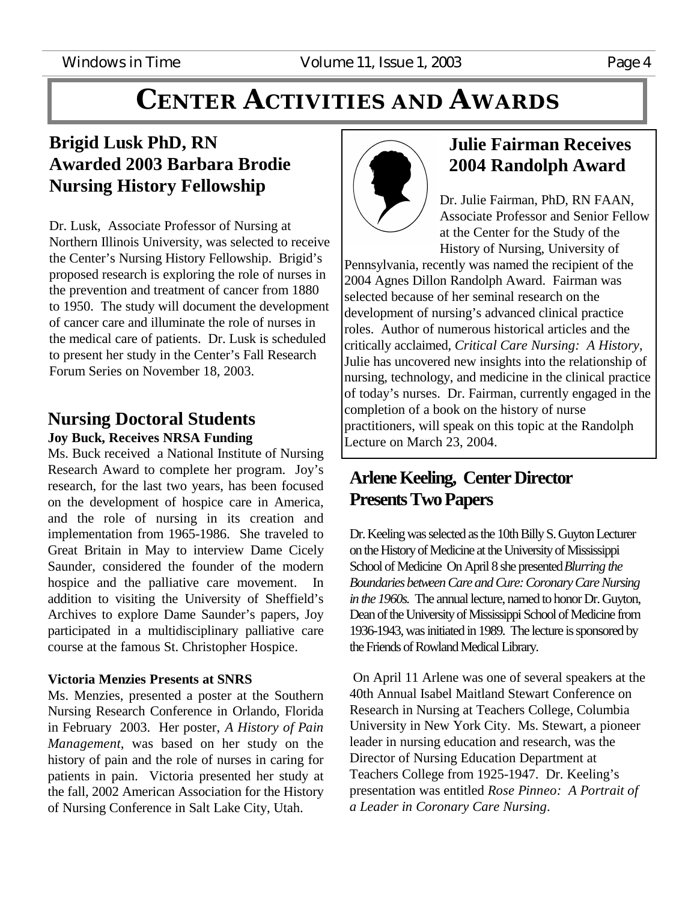# **CENTER ACTIVITIES AND AWARDS**

### **Brigid Lusk PhD, RN Awarded 2003 Barbara Brodie Nursing History Fellowship**

Dr. Lusk, Associate Professor of Nursing at Northern Illinois University, was selected to receive the Center's Nursing History Fellowship. Brigid's proposed research is exploring the role of nurses in the prevention and treatment of cancer from 1880 to 1950. The study will document the development of cancer care and illuminate the role of nurses in the medical care of patients. Dr. Lusk is scheduled to present her study in the Center's Fall Research Forum Series on November 18, 2003.

#### **Nursing Doctoral Students Joy Buck, Receives NRSA Funding**

Ms. Buck received a National Institute of Nursing Research Award to complete her program. Joy's research, for the last two years, has been focused on the development of hospice care in America, and the role of nursing in its creation and implementation from 1965-1986. She traveled to Great Britain in May to interview Dame Cicely Saunder, considered the founder of the modern hospice and the palliative care movement. In addition to visiting the University of Sheffield's Archives to explore Dame Saunder's papers, Joy participated in a multidisciplinary palliative care course at the famous St. Christopher Hospice.

#### **Victoria Menzies Presents at SNRS**

Ms. Menzies, presented a poster at the Southern Nursing Research Conference in Orlando, Florida in February 2003. Her poster, *A History of Pain Management*, was based on her study on the history of pain and the role of nurses in caring for patients in pain. Victoria presented her study at the fall, 2002 American Association for the History of Nursing Conference in Salt Lake City, Utah.



### **Julie Fairman Receives 2004 Randolph Award**

Dr. Julie Fairman, PhD, RN FAAN, Associate Professor and Senior Fellow at the Center for the Study of the History of Nursing, University of

Pennsylvania, recently was named the recipient of the 2004 Agnes Dillon Randolph Award. Fairman was selected because of her seminal research on the development of nursing's advanced clinical practice roles. Author of numerous historical articles and the critically acclaimed, *Critical Care Nursing: A History*, Julie has uncovered new insights into the relationship of nursing, technology, and medicine in the clinical practice of today's nurses. Dr. Fairman, currently engaged in the completion of a book on the history of nurse practitioners, will speak on this topic at the Randolph Lecture on March 23, 2004.

### **Arlene Keeling, Center Director Presents Two Papers**

Dr. Keeling was selected as the 10th Billy S. Guyton Lecturer on the History of Medicine at the University of Mississippi School of Medicine On April 8 she presented *Blurring the Boundaries between Care and Cure: Coronary Care Nursing in the 1960s.* The annual lecture, named to honor Dr. Guyton, Dean of the University of Mississippi School of Medicine from 1936-1943, was initiated in 1989. The lecture is sponsored by the Friends of Rowland Medical Library.

 On April 11 Arlene was one of several speakers at the 40th Annual Isabel Maitland Stewart Conference on Research in Nursing at Teachers College, Columbia University in New York City. Ms. Stewart, a pioneer leader in nursing education and research, was the Director of Nursing Education Department at Teachers College from 1925-1947. Dr. Keeling's presentation was entitled *Rose Pinneo: A Portrait of a Leader in Coronary Care Nursing*.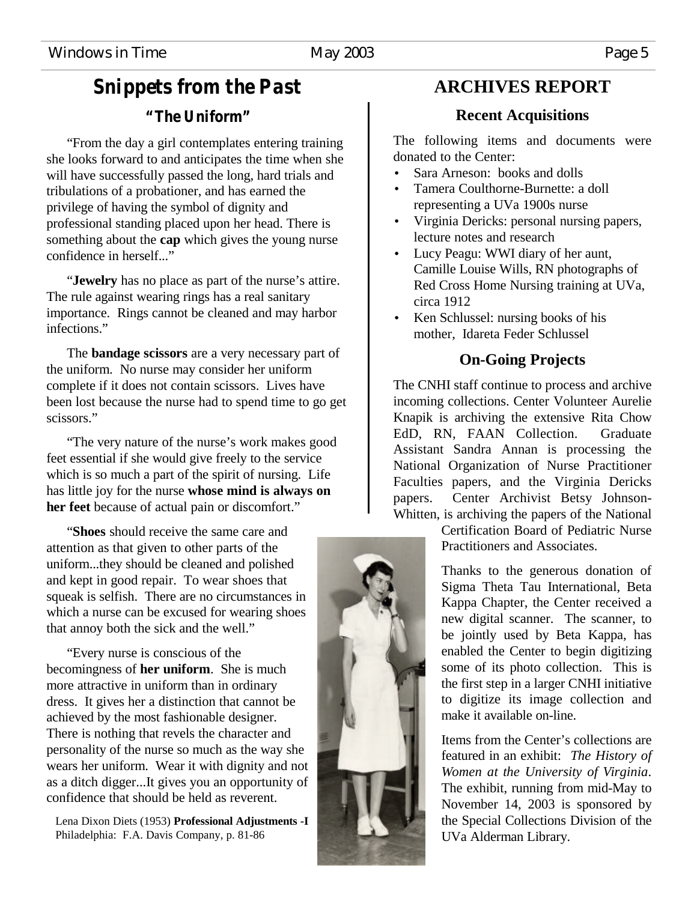### *Snippets from the Past "The Uniform"*

"From the day a girl contemplates entering training she looks forward to and anticipates the time when she will have successfully passed the long, hard trials and tribulations of a probationer, and has earned the privilege of having the symbol of dignity and professional standing placed upon her head. There is something about the **cap** which gives the young nurse confidence in herself..."

"**Jewelry** has no place as part of the nurse's attire. The rule against wearing rings has a real sanitary importance. Rings cannot be cleaned and may harbor infections."

The **bandage scissors** are a very necessary part of the uniform. No nurse may consider her uniform complete if it does not contain scissors. Lives have been lost because the nurse had to spend time to go get scissors."

"The very nature of the nurse's work makes good feet essential if she would give freely to the service which is so much a part of the spirit of nursing. Life has little joy for the nurse **whose mind is always on her feet** because of actual pain or discomfort."

"**Shoes** should receive the same care and attention as that given to other parts of the uniform...they should be cleaned and polished and kept in good repair. To wear shoes that squeak is selfish. There are no circumstances in which a nurse can be excused for wearing shoes that annoy both the sick and the well."

"Every nurse is conscious of the becomingness of **her uniform**. She is much more attractive in uniform than in ordinary dress. It gives her a distinction that cannot be achieved by the most fashionable designer. There is nothing that revels the character and personality of the nurse so much as the way she wears her uniform. Wear it with dignity and not as a ditch digger...It gives you an opportunity of confidence that should be held as reverent.

 Lena Dixon Diets (1953) **Professional Adjustments -I** Philadelphia: F.A. Davis Company, p. 81-86

### **ARCHIVES REPORT**

#### **Recent Acquisitions**

The following items and documents were donated to the Center:

- Sara Arneson: books and dolls
- Tamera Coulthorne-Burnette: a doll representing a UVa 1900s nurse
- Virginia Dericks: personal nursing papers, lecture notes and research
- Lucy Peagu: WWI diary of her aunt, Camille Louise Wills, RN photographs of Red Cross Home Nursing training at UVa, circa 1912
- Ken Schlussel: nursing books of his mother, Idareta Feder Schlussel

#### **On-Going Projects**

The CNHI staff continue to process and archive incoming collections. Center Volunteer Aurelie Knapik is archiving the extensive Rita Chow EdD, RN, FAAN Collection. Graduate Assistant Sandra Annan is processing the National Organization of Nurse Practitioner Faculties papers, and the Virginia Dericks papers. Center Archivist Betsy Johnson-Whitten, is archiving the papers of the National

Certification Board of Pediatric Nurse Practitioners and Associates.

Thanks to the generous donation of Sigma Theta Tau International, Beta Kappa Chapter, the Center received a new digital scanner. The scanner, to be jointly used by Beta Kappa, has enabled the Center to begin digitizing some of its photo collection. This is the first step in a larger CNHI initiative to digitize its image collection and make it available on-line.

Items from the Center's collections are featured in an exhibit: *The History of Women at the University of Virginia*. The exhibit, running from mid-May to November 14, 2003 is sponsored by the Special Collections Division of the UVa Alderman Library.

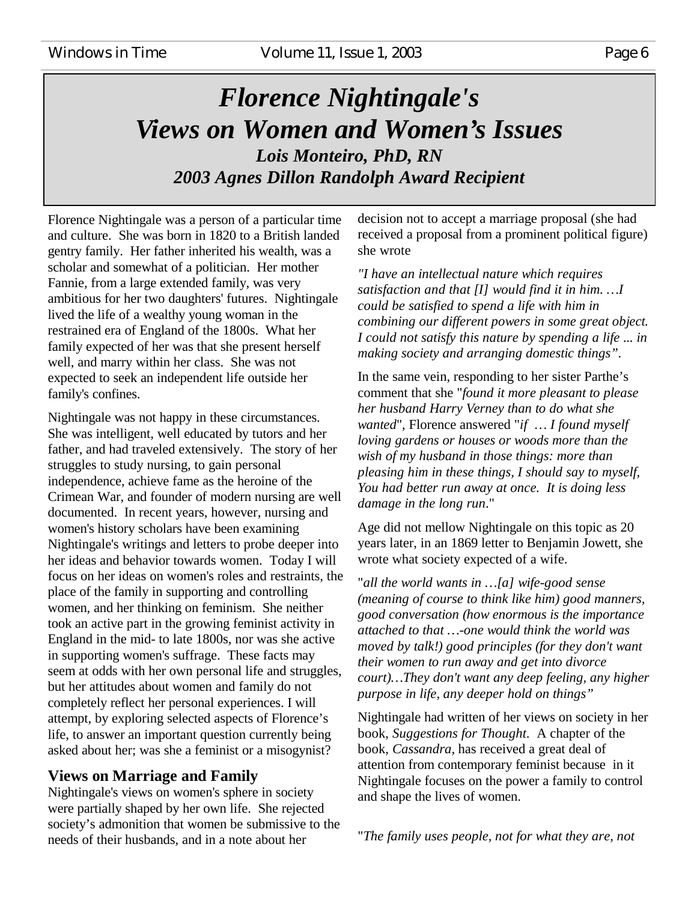### *Florence Nightingale's Views on Women and Women's Issues Lois Monteiro, PhD, RN 2003 Agnes Dillon Randolph Award Recipient*

Florence Nightingale was a person of a particular time and culture. She was born in 1820 to a British landed gentry family. Her father inherited his wealth, was a scholar and somewhat of a politician. Her mother Fannie, from a large extended family, was very ambitious for her two daughters' futures. Nightingale lived the life of a wealthy young woman in the restrained era of England of the 1800s. What her family expected of her was that she present herself well, and marry within her class. She was not expected to seek an independent life outside her family's confines.

Nightingale was not happy in these circumstances. She was intelligent, well educated by tutors and her father, and had traveled extensively. The story of her struggles to study nursing, to gain personal independence, achieve fame as the heroine of the Crimean War, and founder of modern nursing are well documented. In recent years, however, nursing and women's history scholars have been examining Nightingale's writings and letters to probe deeper into her ideas and behavior towards women. Today I will focus on her ideas on women's roles and restraints, the place of the family in supporting and controlling women, and her thinking on feminism. She neither took an active part in the growing feminist activity in England in the mid- to late 1800s, nor was she active in supporting women's suffrage. These facts may seem at odds with her own personal life and struggles, but her attitudes about women and family do not completely reflect her personal experiences. I will attempt, by exploring selected aspects of Florence's life, to answer an important question currently being asked about her; was she a feminist or a misogynist?

#### **Views on Marriage and Family**

Nightingale's views on women's sphere in society were partially shaped by her own life. She rejected society's admonition that women be submissive to the needs of their husbands, and in a note about her

decision not to accept a marriage proposal (she had received a proposal from a prominent political figure) she wrote

*"I have an intellectual nature which requires satisfaction and that [I] would find it in him. … I could be satisfied to spend a life with him in combining our different powers in some great object. I could not satisfy this nature by spending a life ... in making society and arranging domestic things".*

In the same vein, responding to her sister Parthe's comment that she "*found it more pleasant to please her husband Harry Verney than to do what she wanted*", Florence answered "*if … I found myself loving gardens or houses or woods more than the wish of my husband in those things: more than pleasing him in these things, I should say to myself, You had better run away at once. It is doing less damage in the long run*."

Age did not mellow Nightingale on this topic as 20 years later, in an 1869 letter to Benjamin Jowett, she wrote what society expected of a wife.

"*all the world wants in … [a] wife-good sense (meaning of course to think like him) good manners, good conversation (how enormous is the importance attached to that … -one would think the world was moved by talk!) good principles (for they don't want their women to run away and get into divorce court)… They don't want any deep feeling, any higher purpose in life, any deeper hold on things"*

Nightingale had written of her views on society in her book, *Suggestions for Thought*. A chapter of the book, *Cassandra,* has received a great deal of attention from contemporary feminist because in it Nightingale focuses on the power a family to control and shape the lives of women.

"*The family uses people, not for what they are, not*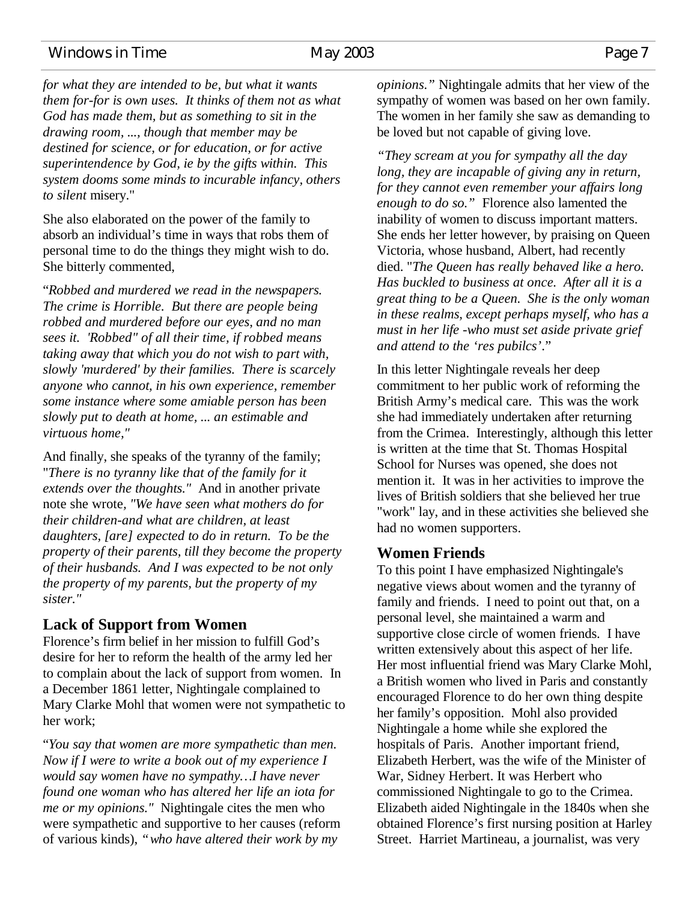#### Windows in Time May 2003 Page 7

*for what they are intended to be, but what it wants them for-for is own uses. It thinks of them not as what God has made them, but as something to sit in the drawing room, ..., though that member may be destined for science, or for education, or for active superintendence by God, ie by the gifts within. This system dooms some minds to incurable infancy, others to silent* misery."

She also elaborated on the power of the family to absorb an individual's time in ways that robs them of personal time to do the things they might wish to do. She bitterly commented,

"*Robbed and murdered we read in the newspapers. The crime is Horrible. But there are people being robbed and murdered before our eyes, and no man sees it. 'Robbed" of all their time, if robbed means taking away that which you do not wish to part with, slowly 'murdered' by their families. There is scarcely anyone who cannot, in his own experience, remember some instance where some amiable person has been slowly put to death at home, ... an estimable and virtuous home,"*

And finally, she speaks of the tyranny of the family; "*There is no tyranny like that of the family for it extends over the thoughts."* And in another private note she wrote*, "We have seen what mothers do for their children-and what are children, at least daughters, [are] expected to do in return. To be the property of their parents, till they become the property of their husbands. And I was expected to be not only the property of my parents, but the property of my sister."*

#### **Lack of Support from Women**

Florence's firm belief in her mission to fulfill God's desire for her to reform the health of the army led her to complain about the lack of support from women. In a December 1861 letter, Nightingale complained to Mary Clarke Mohl that women were not sympathetic to her work;

"*You say that women are more sympathetic than men. Now if I were to write a book out of my experience I would say women have no sympathy… I have never found one woman who has altered her life an iota for me or my opinions."* Nightingale cites the men who were sympathetic and supportive to her causes (reform of various kinds), *"who have altered their work by my*

*opinions."* Nightingale admits that her view of the sympathy of women was based on her own family. The women in her family she saw as demanding to be loved but not capable of giving love.

*"They scream at you for sympathy all the day long, they are incapable of giving any in return, for they cannot even remember your affairs long enough to do so."* Florence also lamented the inability of women to discuss important matters. She ends her letter however, by praising on Queen Victoria, whose husband, Albert, had recently died. "*The Queen has really behaved like a hero. Has buckled to business at once. After all it is a great thing to be a Queen. She is the only woman in these realms, except perhaps myself, who has a must in her life -who must set aside private grief and attend to the 'res pubilcs'*."

In this letter Nightingale reveals her deep commitment to her public work of reforming the British Army's medical care. This was the work she had immediately undertaken after returning from the Crimea. Interestingly, although this letter is written at the time that St. Thomas Hospital School for Nurses was opened, she does not mention it. It was in her activities to improve the lives of British soldiers that she believed her true "work" lay, and in these activities she believed she had no women supporters.

#### **Women Friends**

To this point I have emphasized Nightingale's negative views about women and the tyranny of family and friends. I need to point out that, on a personal level, she maintained a warm and supportive close circle of women friends. I have written extensively about this aspect of her life. Her most influential friend was Mary Clarke Mohl, a British women who lived in Paris and constantly encouraged Florence to do her own thing despite her family's opposition. Mohl also provided Nightingale a home while she explored the hospitals of Paris. Another important friend, Elizabeth Herbert, was the wife of the Minister of War, Sidney Herbert. It was Herbert who commissioned Nightingale to go to the Crimea. Elizabeth aided Nightingale in the 1840s when she obtained Florence's first nursing position at Harley Street. Harriet Martineau, a journalist, was very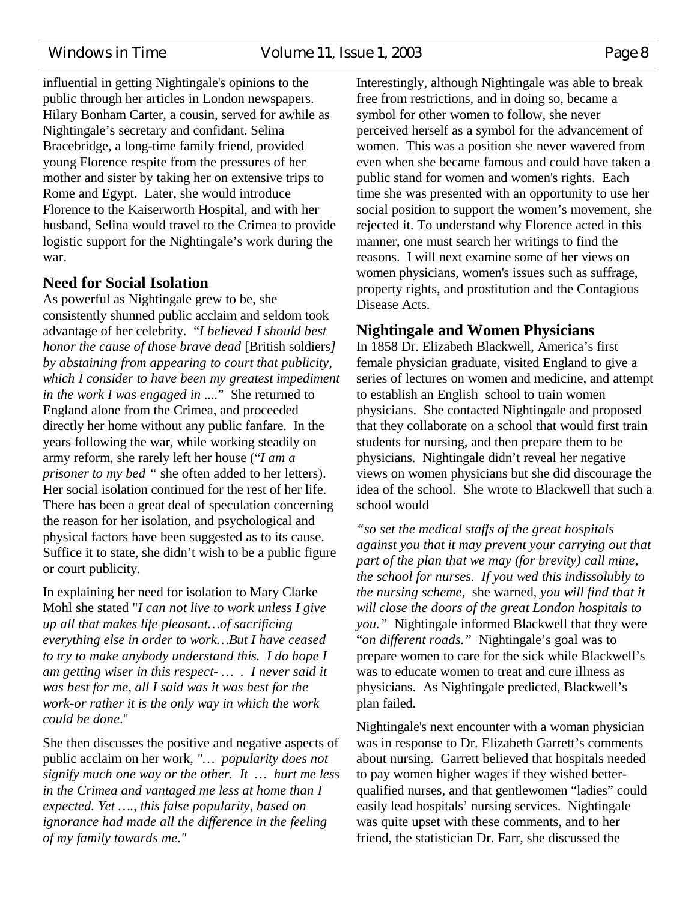Windows in Time Volume 11, Issue 1, 2003 Page 8

influential in getting Nightingale's opinions to the public through her articles in London newspapers. Hilary Bonham Carter, a cousin, served for awhile as Nightingale's secretary and confidant. Selina Bracebridge, a long-time family friend, provided young Florence respite from the pressures of her mother and sister by taking her on extensive trips to Rome and Egypt. Later, she would introduce Florence to the Kaiserworth Hospital, and with her husband, Selina would travel to the Crimea to provide logistic support for the Nightingale's work during the war.

#### **Need for Social Isolation**

As powerful as Nightingale grew to be, she consistently shunned public acclaim and seldom took advantage of her celebrity. "*I believed I should best honor the cause of those brave dead* [British soldiers*] by abstaining from appearing to court that publicity, which I consider to have been my greatest impediment in the work I was engaged in ...*." She returned to England alone from the Crimea, and proceeded directly her home without any public fanfare. In the years following the war, while working steadily on army reform, she rarely left her house ("*I am a prisoner to my bed "* she often added to her letters). Her social isolation continued for the rest of her life. There has been a great deal of speculation concerning the reason for her isolation, and psychological and physical factors have been suggested as to its cause. Suffice it to state, she didn't wish to be a public figure or court publicity.

In explaining her need for isolation to Mary Clarke Mohl she stated "*I can not live to work unless I give up all that makes life pleasant… of sacrificing everything else in order to work… But I have ceased to try to make anybody understand this. I do hope I am getting wiser in this respect- … . I never said it was best for me, all I said was it was best for the work-or rather it is the only way in which the work could be done*."

She then discusses the positive and negative aspects of public acclaim on her work, *"… popularity does not signify much one way or the other. It … hurt me less in the Crimea and vantaged me less at home than I expected. Yet … ., this false popularity, based on ignorance had made all the difference in the feeling of my family towards me."*

Interestingly, although Nightingale was able to break free from restrictions, and in doing so, became a symbol for other women to follow, she never perceived herself as a symbol for the advancement of women. This was a position she never wavered from even when she became famous and could have taken a public stand for women and women's rights. Each time she was presented with an opportunity to use her social position to support the women's movement, she rejected it. To understand why Florence acted in this manner, one must search her writings to find the reasons. I will next examine some of her views on women physicians, women's issues such as suffrage, property rights, and prostitution and the Contagious Disease Acts.

#### **Nightingale and Women Physicians**

In 1858 Dr. Elizabeth Blackwell, America's first female physician graduate, visited England to give a series of lectures on women and medicine, and attempt to establish an English school to train women physicians. She contacted Nightingale and proposed that they collaborate on a school that would first train students for nursing, and then prepare them to be physicians. Nightingale didn't reveal her negative views on women physicians but she did discourage the idea of the school. She wrote to Blackwell that such a school would

*"so set the medical staffs of the great hospitals against you that it may prevent your carrying out that part of the plan that we may (for brevity) call mine, the school for nurses. If you wed this indissolubly to the nursing scheme,* she warned*, you will find that it will close the doors of the great London hospitals to you."* Nightingale informed Blackwell that they were "*on different roads."* Nightingale's goal was to prepare women to care for the sick while Blackwell's was to educate women to treat and cure illness as physicians. As Nightingale predicted, Blackwell's plan failed.

Nightingale's next encounter with a woman physician was in response to Dr. Elizabeth Garrett's comments about nursing. Garrett believed that hospitals needed to pay women higher wages if they wished betterqualified nurses, and that gentlewomen "ladies" could easily lead hospitals' nursing services. Nightingale was quite upset with these comments, and to her friend, the statistician Dr. Farr, she discussed the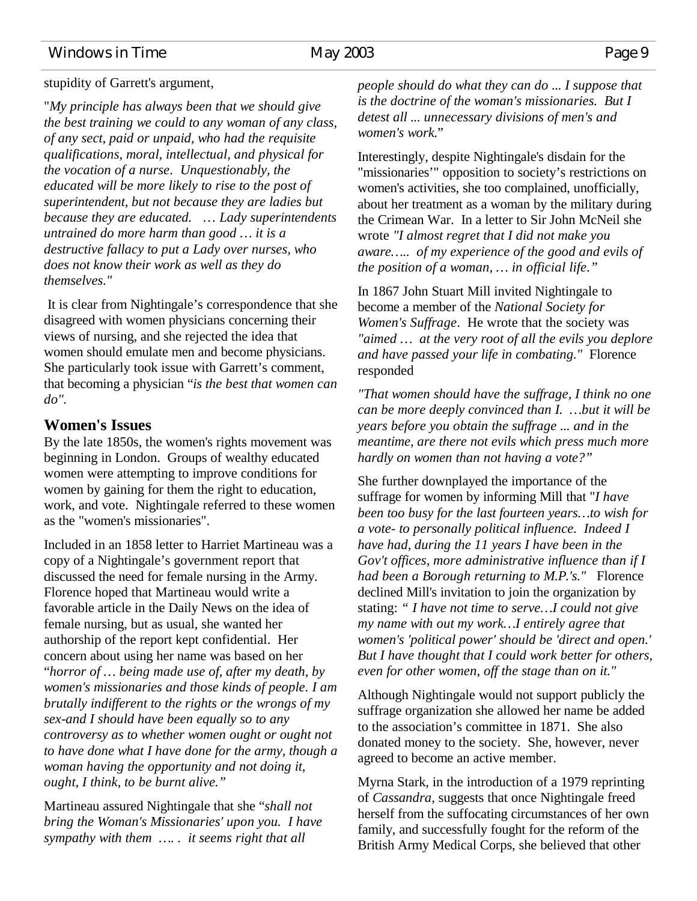#### Windows in Time May 2003 Page 9

#### stupidity of Garrett's argument,

"*My principle has always been that we should give the best training we could to any woman of any class, of any sect, paid or unpaid, who had the requisite qualifications, moral, intellectual, and physical for the vocation of a nurse*. *Unquestionably, the educated will be more likely to rise to the post of superintendent, but not because they are ladies but because they are educated.* … *Lady superintendents untrained do more harm than good … it is a destructive fallacy to put a Lady over nurses, who does not know their work as well as they do themselves."*

 It is clear from Nightingale's correspondence that she disagreed with women physicians concerning their views of nursing, and she rejected the idea that women should emulate men and become physicians. She particularly took issue with Garrett's comment, that becoming a physician "*is the best that women can do".*

#### **Women's Issues**

By the late 1850s, the women's rights movement was beginning in London. Groups of wealthy educated women were attempting to improve conditions for women by gaining for them the right to education, work, and vote. Nightingale referred to these women as the "women's missionaries".

Included in an 1858 letter to Harriet Martineau was a copy of a Nightingale's government report that discussed the need for female nursing in the Army. Florence hoped that Martineau would write a favorable article in the Daily News on the idea of female nursing, but as usual, she wanted her authorship of the report kept confidential. Her concern about using her name was based on her "*horror of … being made use of, after my death, by women's missionaries and those kinds of people*. *I am brutally indifferent to the rights or the wrongs of my sex-and I should have been equally so to any controversy as to whether women ought or ought not to have done what I have done for the army, though a woman having the opportunity and not doing it, ought, I think, to be burnt alive."*

Martineau assured Nightingale that she "*shall not bring the Woman's Missionaries' upon you. I have sympathy with them … . . it seems right that all*

*people should do what they can do ... I suppose that is the doctrine of the woman's missionaries. But I detest all ... unnecessary divisions of men's and women's work.*"

Interestingly, despite Nightingale's disdain for the "missionaries'" opposition to society's restrictions on women's activities, she too complained, unofficially, about her treatment as a woman by the military during the Crimean War. In a letter to Sir John McNeil she wrote *"I almost regret that I did not make you aware… .. of my experience of the good and evils of the position of a woman, … in official life."*

In 1867 John Stuart Mill invited Nightingale to become a member of the *National Society for Women's Suffrage*. He wrote that the society was *"aimed … at the very root of all the evils you deplore and have passed your life in combating."* Florence responded

*"That women should have the suffrage, I think no one can be more deeply convinced than I. … but it will be years before you obtain the suffrage ... and in the meantime, are there not evils which press much more hardly on women than not having a vote?"*

She further downplayed the importance of the suffrage for women by informing Mill that "*I have been too busy for the last fourteen years… to wish for a vote- to personally political influence. Indeed I have had, during the 11 years I have been in the Gov't offices, more administrative influence than if I had been a Borough returning to M.P.'s."* Florence declined Mill's invitation to join the organization by stating: *" I have not time to serve… I could not give my name with out my work… I entirely agree that women's 'political power' should be 'direct and open.' But I have thought that I could work better for others, even for other women, off the stage than on it."*

Although Nightingale would not support publicly the suffrage organization she allowed her name be added to the association's committee in 1871. She also donated money to the society. She, however, never agreed to become an active member.

Myrna Stark, in the introduction of a 1979 reprinting of *Cassandra,* suggests that once Nightingale freed herself from the suffocating circumstances of her own family, and successfully fought for the reform of the British Army Medical Corps, she believed that other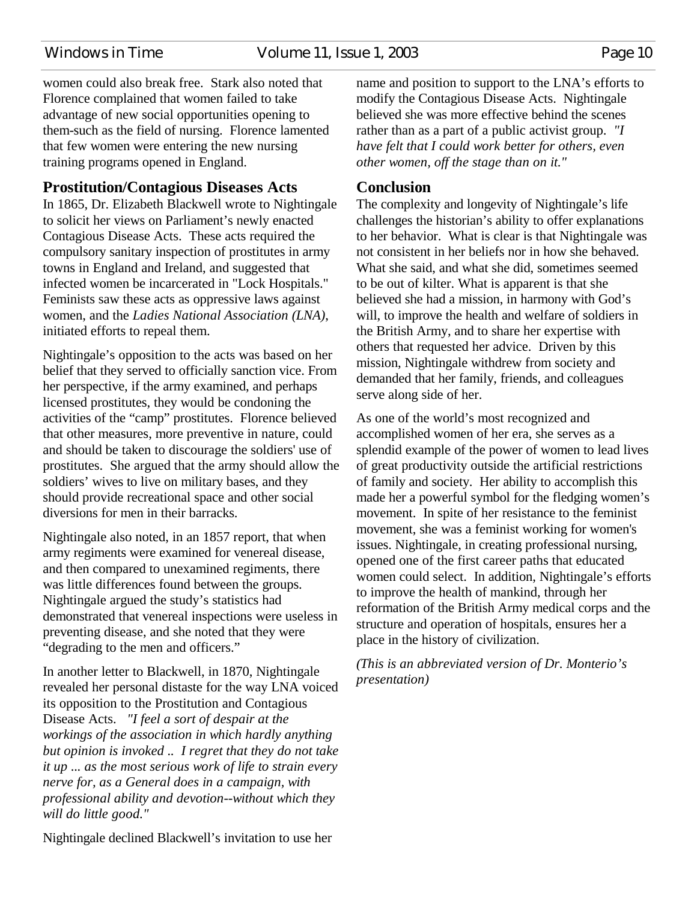Windows in Time Volume 11, Issue 1, 2003 Page 10

women could also break free. Stark also noted that Florence complained that women failed to take advantage of new social opportunities opening to them-such as the field of nursing. Florence lamented that few women were entering the new nursing training programs opened in England.

#### **Prostitution/Contagious Diseases Acts**

In 1865, Dr. Elizabeth Blackwell wrote to Nightingale to solicit her views on Parliament's newly enacted Contagious Disease Acts. These acts required the compulsory sanitary inspection of prostitutes in army towns in England and Ireland, and suggested that infected women be incarcerated in "Lock Hospitals." Feminists saw these acts as oppressive laws against women, and the *Ladies National Association (LNA)*, initiated efforts to repeal them.

Nightingale's opposition to the acts was based on her belief that they served to officially sanction vice. From her perspective, if the army examined, and perhaps licensed prostitutes, they would be condoning the activities of the "camp" prostitutes. Florence believed that other measures, more preventive in nature, could and should be taken to discourage the soldiers' use of prostitutes. She argued that the army should allow the soldiers' wives to live on military bases, and they should provide recreational space and other social diversions for men in their barracks.

Nightingale also noted, in an 1857 report, that when army regiments were examined for venereal disease, and then compared to unexamined regiments, there was little differences found between the groups. Nightingale argued the study's statistics had demonstrated that venereal inspections were useless in preventing disease, and she noted that they were "degrading to the men and officers."

In another letter to Blackwell, in 1870, Nightingale revealed her personal distaste for the way LNA voiced its opposition to the Prostitution and Contagious Disease Acts. *"I feel a sort of despair at the workings of the association in which hardly anything but opinion is invoked .. I regret that they do not take it up ... as the most serious work of life to strain every nerve for, as a General does in a campaign, with professional ability and devotion--without which they will do little good."*

Nightingale declined Blackwell's invitation to use her

name and position to support to the LNA's efforts to modify the Contagious Disease Acts. Nightingale believed she was more effective behind the scenes rather than as a part of a public activist group. *"I have felt that I could work better for others, even other women, off the stage than on it."*

#### **Conclusion**

The complexity and longevity of Nightingale's life challenges the historian's ability to offer explanations to her behavior. What is clear is that Nightingale was not consistent in her beliefs nor in how she behaved. What she said, and what she did, sometimes seemed to be out of kilter. What is apparent is that she believed she had a mission, in harmony with God's will, to improve the health and welfare of soldiers in the British Army, and to share her expertise with others that requested her advice. Driven by this mission, Nightingale withdrew from society and demanded that her family, friends, and colleagues serve along side of her.

As one of the world's most recognized and accomplished women of her era, she serves as a splendid example of the power of women to lead lives of great productivity outside the artificial restrictions of family and society. Her ability to accomplish this made her a powerful symbol for the fledging women's movement. In spite of her resistance to the feminist movement, she was a feminist working for women's issues. Nightingale, in creating professional nursing, opened one of the first career paths that educated women could select. In addition, Nightingale's efforts to improve the health of mankind, through her reformation of the British Army medical corps and the structure and operation of hospitals, ensures her a place in the history of civilization.

*(This is an abbreviated version of Dr. Monterio's presentation)*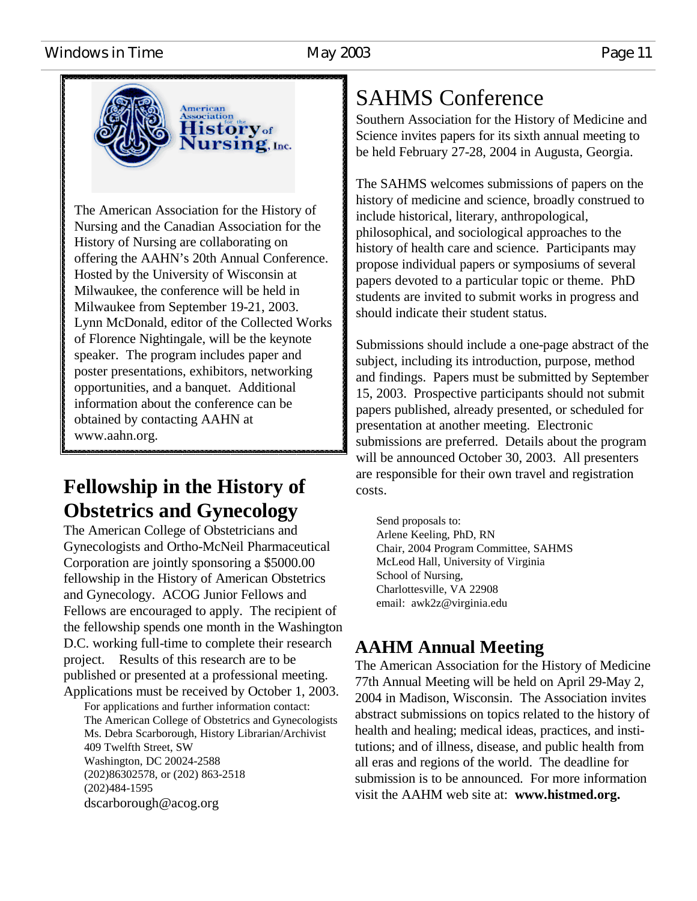#### Windows in Time May 2003 May 2003



The American Association for the History of Nursing and the Canadian Association for the History of Nursing are collaborating on offering the AAHN's 20th Annual Conference. Hosted by the University of Wisconsin at Milwaukee, the conference will be held in Milwaukee from September 19-21, 2003. Lynn McDonald, editor of the Collected Works of Florence Nightingale, will be the keynote speaker. The program includes paper and poster presentations, exhibitors, networking opportunities, and a banquet. Additional information about the conference can be obtained by contacting AAHN at www.aahn.org.

### **Fellowship in the History of Obstetrics and Gynecology**

The American College of Obstetricians and Gynecologists and Ortho-McNeil Pharmaceutical Corporation are jointly sponsoring a \$5000.00 fellowship in the History of American Obstetrics and Gynecology. ACOG Junior Fellows and Fellows are encouraged to apply. The recipient of the fellowship spends one month in the Washington D.C. working full-time to complete their research project. Results of this research are to be published or presented at a professional meeting. Applications must be received by October 1, 2003.

For applications and further information contact: The American College of Obstetrics and Gynecologists Ms. Debra Scarborough, History Librarian/Archivist 409 Twelfth Street, SW Washington, DC 20024-2588 (202)86302578, or (202) 863-2518 (202)484-1595 dscarborough@acog.org

# SAHMS Conference

Southern Association for the History of Medicine and Science invites papers for its sixth annual meeting to be held February 27-28, 2004 in Augusta, Georgia.

The SAHMS welcomes submissions of papers on the history of medicine and science, broadly construed to include historical, literary, anthropological, philosophical, and sociological approaches to the history of health care and science. Participants may propose individual papers or symposiums of several papers devoted to a particular topic or theme. PhD students are invited to submit works in progress and should indicate their student status.

Submissions should include a one-page abstract of the subject, including its introduction, purpose, method and findings. Papers must be submitted by September 15, 2003. Prospective participants should not submit papers published, already presented, or scheduled for presentation at another meeting. Electronic submissions are preferred. Details about the program will be announced October 30, 2003. All presenters are responsible for their own travel and registration costs.

Send proposals to: Arlene Keeling, PhD, RN Chair, 2004 Program Committee, SAHMS McLeod Hall, University of Virginia School of Nursing, Charlottesville, VA 22908 email: awk2z@virginia.edu

### **AAHM Annual Meeting**

The American Association for the History of Medicine 77th Annual Meeting will be held on April 29-May 2, 2004 in Madison, Wisconsin. The Association invites abstract submissions on topics related to the history of health and healing; medical ideas, practices, and institutions; and of illness, disease, and public health from all eras and regions of the world. The deadline for submission is to be announced. For more information visit the AAHM web site at: **www.histmed.org.**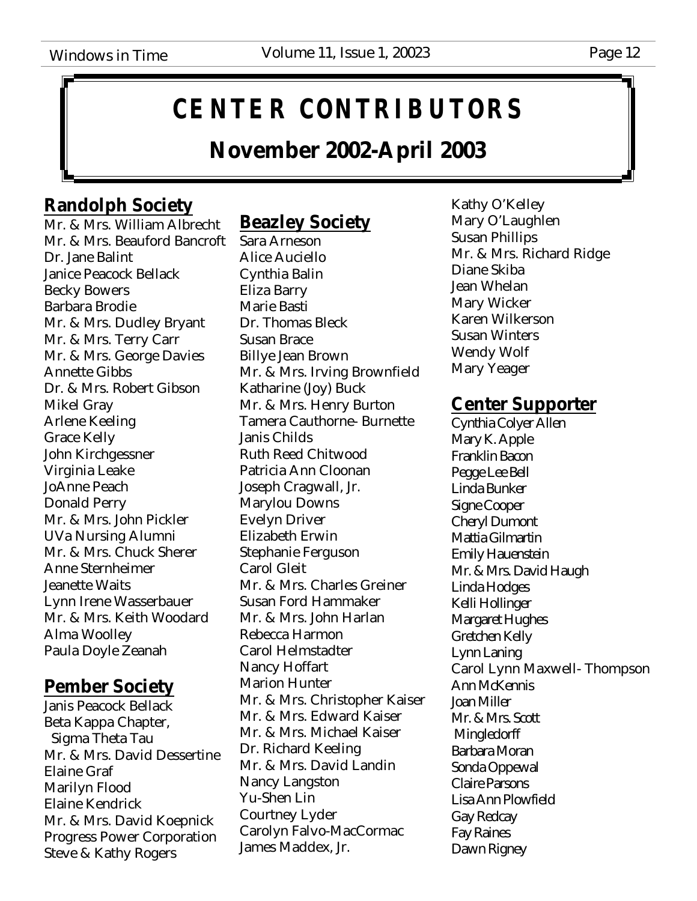# **CENTER CONTRIBUTORS**

### **November 2002-April 2003**

### **Randolph Society**

Mr. & Mrs. William Albrecht Mr. & Mrs. Beauford Bancroft Dr. Jane Balint Janice Peacock Bellack Becky Bowers Barbara Brodie Mr. & Mrs. Dudley Bryant Mr. & Mrs. Terry Carr Mr. & Mrs. George Davies Annette Gibbs Dr. & Mrs. Robert Gibson Mikel Gray Arlene Keeling Grace Kelly John Kirchgessner Virginia Leake JoAnne Peach Donald Perry Mr. & Mrs. John Pickler UVa Nursing Alumni Mr. & Mrs. Chuck Sherer Anne Sternheimer Jeanette Waits Lynn Irene Wasserbauer Mr. & Mrs. Keith Woodard Alma Woolley Paula Doyle Zeanah

### **Pember Society**

Janis Peacock Bellack Beta Kappa Chapter, Sigma Theta Tau Mr. & Mrs. David Dessertine Elaine Graf Marilyn Flood Elaine Kendrick Mr. & Mrs. David Koepnick Progress Power Corporation Steve & Kathy Rogers

### **Beazley Society**

Sara Arneson Alice Auciello Cynthia Balin Eliza Barry Marie Basti Dr. Thomas Bleck Susan Brace Billye Jean Brown Mr. & Mrs. Irving Brownfield Katharine (Joy) Buck Mr. & Mrs. Henry Burton Tamera Cauthorne- Burnette Janis Childs Ruth Reed Chitwood Patricia Ann Cloonan Joseph Cragwall, Jr. Marylou Downs Evelyn Driver Elizabeth Erwin Stephanie Ferguson Carol Gleit Mr. & Mrs. Charles Greiner Susan Ford Hammaker Mr. & Mrs. John Harlan Rebecca Harmon Carol Helmstadter Nancy Hoffart Marion Hunter Mr. & Mrs. Christopher Kaiser Mr. & Mrs. Edward Kaiser Mr. & Mrs. Michael Kaiser Dr. Richard Keeling Mr. & Mrs. David Landin Nancy Langston Yu-Shen Lin Courtney Lyder Carolyn Falvo-MacCormac James Maddex, Jr.

Kathy O'Kelley Mary O'Laughlen Susan Phillips Mr. & Mrs. Richard Ridge Diane Skiba Jean Whelan Mary Wicker Karen Wilkerson Susan Winters Wendy Wolf Mary Yeager

### **Center Supporter**

Cynthia Colyer Allen Mary K. Apple Franklin Bacon Pegge Lee Bell Linda Bunker Signe Cooper Cheryl Dumont Mattia Gilmartin Emily Hauenstein Mr. & Mrs. David Haugh Linda Hodges Kelli Hollinger Margaret Hughes Gretchen Kelly Lynn Laning Carol Lynn Maxwell- Thompson Ann McKennis Joan Miller Mr. & Mrs. Scott **Mingledorff** Barbara Moran Sonda Oppewal Claire Parsons Lisa Ann Plowfield Gay Redcay Fay Raines Dawn Rigney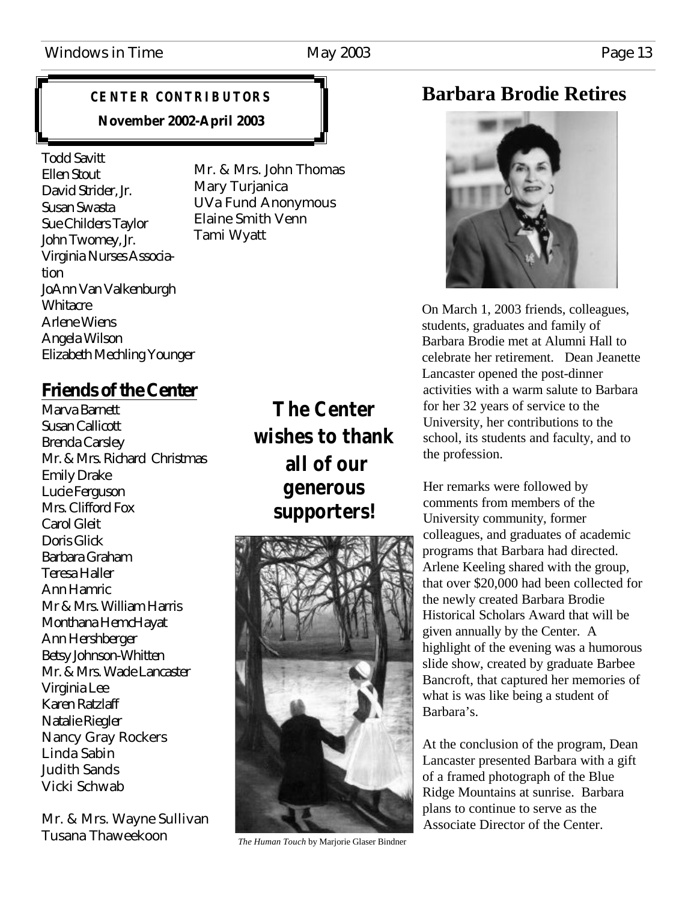### **CENTER CONTRIBUTORS November 2002-April 2003**

Todd Savitt Ellen Stout David Strider, Jr. Susan Swasta Sue Childers Taylor John Twomey, Jr. Virginia Nurses Association JoAnn Van Valkenburgh Whitacre Arlene Wiens Angela Wilson Elizabeth Mechling Younger

Mr. & Mrs. John Thomas Mary Turjanica UVa Fund Anonymous Elaine Smith Venn Tami Wyatt

### **Friends of the Center**

Marva Barnett Susan Callicott Brenda Carsley Mr. & Mrs. Richard Christmas Emily Drake Lucie Ferguson Mrs. Clifford Fox Carol Gleit Doris Glick Barbara Graham Teresa Haller Ann Hamric Mr & Mrs. William Harris Monthana HemcHayat Ann Hershberger Betsy Johnson-Whitten Mr. & Mrs. Wade Lancaster Virginia Lee Karen Ratzlaff Natalie Riegler Nancy Gray Rockers Linda Sabin Judith Sands Vicki Schwab

Mr. & Mrs. Wayne Sullivan Tusana Thaweekoon

### **The Center wishes to thank all of our generous supporters!**



*The Human Touch* by Marjorie Glaser Bindner

### **Barbara Brodie Retires**



On March 1, 2003 friends, colleagues, students, graduates and family of Barbara Brodie met at Alumni Hall to celebrate her retirement. Dean Jeanette Lancaster opened the post-dinner activities with a warm salute to Barbara for her 32 years of service to the University, her contributions to the school, its students and faculty, and to the profession.

Her remarks were followed by comments from members of the University community, former colleagues, and graduates of academic programs that Barbara had directed. Arlene Keeling shared with the group, that over \$20,000 had been collected for the newly created Barbara Brodie Historical Scholars Award that will be given annually by the Center. A highlight of the evening was a humorous slide show, created by graduate Barbee Bancroft, that captured her memories of what is was like being a student of Barbara's.

At the conclusion of the program, Dean Lancaster presented Barbara with a gift of a framed photograph of the Blue Ridge Mountains at sunrise. Barbara plans to continue to serve as the Associate Director of the Center.